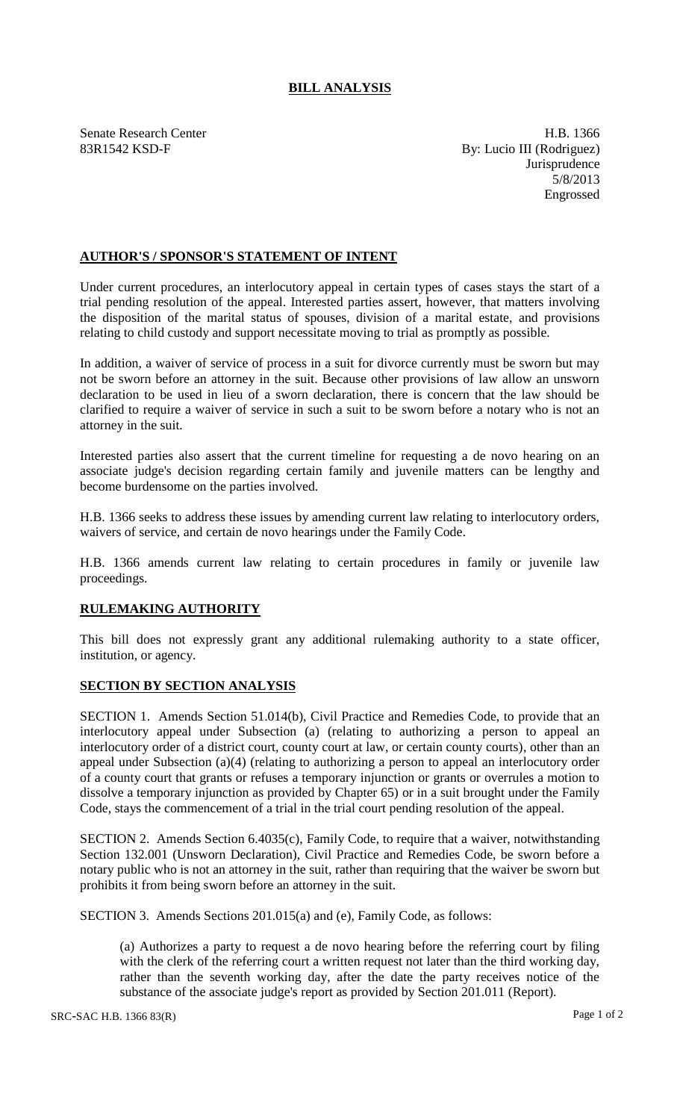## **BILL ANALYSIS**

Senate Research Center **H.B. 1366** 83R1542 KSD-F By: Lucio III (Rodriguez) **Jurisprudence** 5/8/2013 Engrossed

## **AUTHOR'S / SPONSOR'S STATEMENT OF INTENT**

Under current procedures, an interlocutory appeal in certain types of cases stays the start of a trial pending resolution of the appeal. Interested parties assert, however, that matters involving the disposition of the marital status of spouses, division of a marital estate, and provisions relating to child custody and support necessitate moving to trial as promptly as possible.

In addition, a waiver of service of process in a suit for divorce currently must be sworn but may not be sworn before an attorney in the suit. Because other provisions of law allow an unsworn declaration to be used in lieu of a sworn declaration, there is concern that the law should be clarified to require a waiver of service in such a suit to be sworn before a notary who is not an attorney in the suit.

Interested parties also assert that the current timeline for requesting a de novo hearing on an associate judge's decision regarding certain family and juvenile matters can be lengthy and become burdensome on the parties involved.

H.B. 1366 seeks to address these issues by amending current law relating to interlocutory orders, waivers of service, and certain de novo hearings under the Family Code.

H.B. 1366 amends current law relating to certain procedures in family or juvenile law proceedings.

## **RULEMAKING AUTHORITY**

This bill does not expressly grant any additional rulemaking authority to a state officer, institution, or agency.

## **SECTION BY SECTION ANALYSIS**

SECTION 1. Amends Section 51.014(b), Civil Practice and Remedies Code, to provide that an interlocutory appeal under Subsection (a) (relating to authorizing a person to appeal an interlocutory order of a district court, county court at law, or certain county courts), other than an appeal under Subsection (a)(4) (relating to authorizing a person to appeal an interlocutory order of a county court that grants or refuses a temporary injunction or grants or overrules a motion to dissolve a temporary injunction as provided by Chapter 65) or in a suit brought under the Family Code, stays the commencement of a trial in the trial court pending resolution of the appeal.

SECTION 2. Amends Section 6.4035(c), Family Code, to require that a waiver, notwithstanding Section 132.001 (Unsworn Declaration), Civil Practice and Remedies Code, be sworn before a notary public who is not an attorney in the suit, rather than requiring that the waiver be sworn but prohibits it from being sworn before an attorney in the suit.

SECTION 3. Amends Sections 201.015(a) and (e), Family Code, as follows:

(a) Authorizes a party to request a de novo hearing before the referring court by filing with the clerk of the referring court a written request not later than the third working day, rather than the seventh working day, after the date the party receives notice of the substance of the associate judge's report as provided by Section 201.011 (Report).